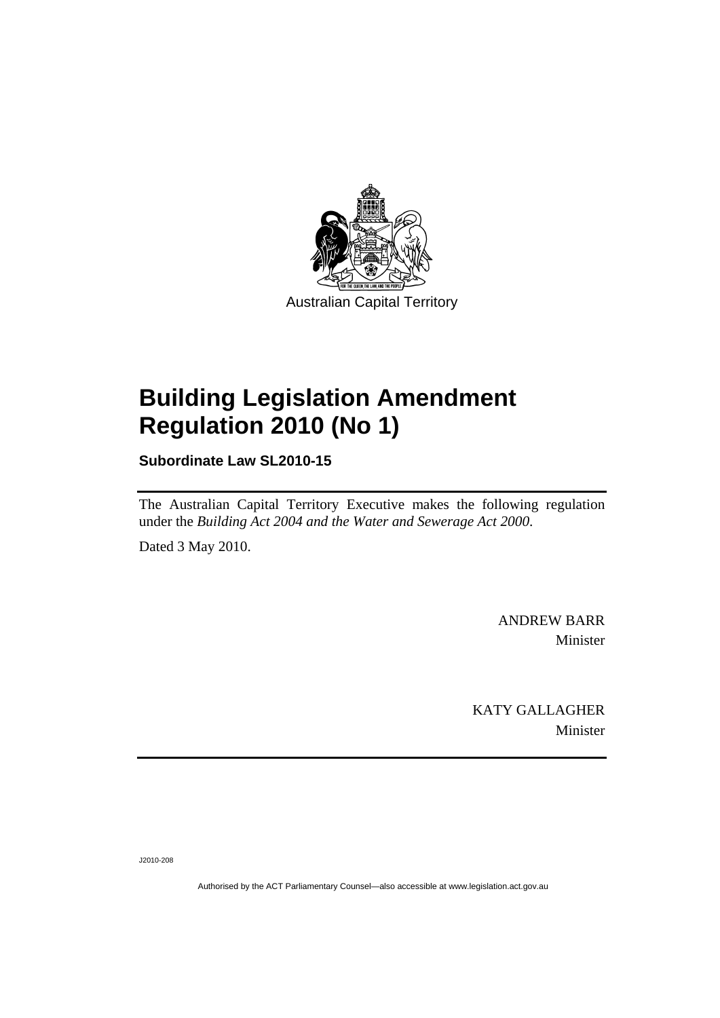

# **[Building Legislation Amendment](#page-2-0)  [Regulation 2010 \(No 1\)](#page-2-0)**

**Subordinate Law SL2010-15** 

The Australian Capital Territory Executive makes the following regulation under the *[Building Act 2004 and the Water and Sewerage Act 2000](#page-2-0)*.

Dated 3 May 2010.

ANDREW BARR Minister

KATY GALLAGHER Minister

J2010-208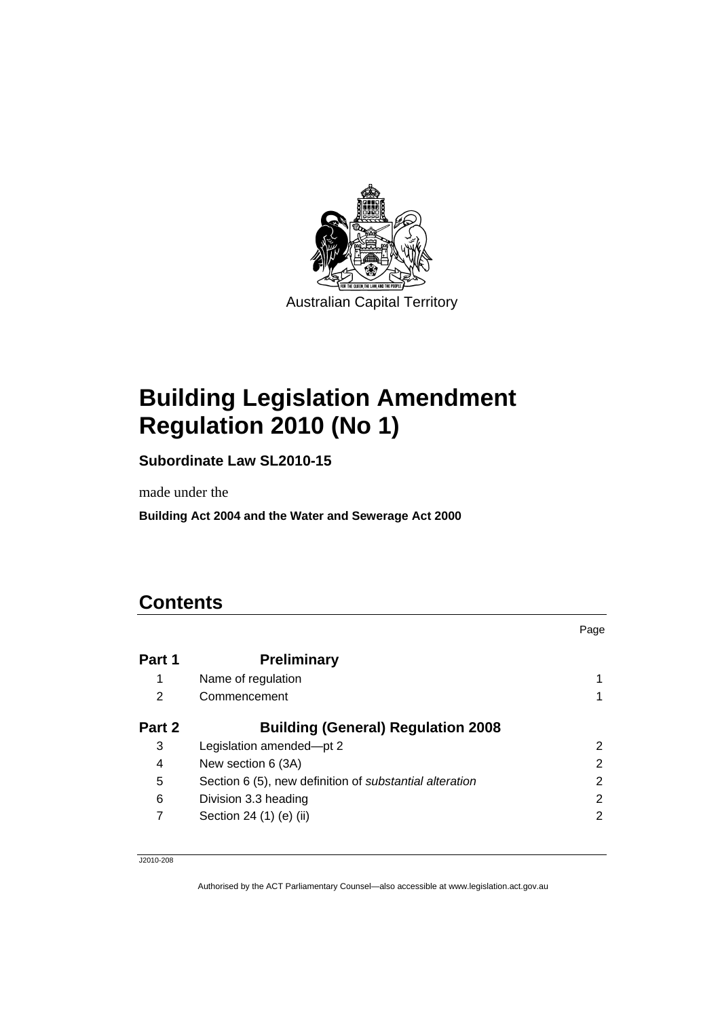<span id="page-2-0"></span>

# **Building Legislation Amendment Regulation 2010 (No 1)**

**Subordinate Law SL2010-15** 

made under the

**Building Act 2004 and the Water and Sewerage Act 2000** 

## **Contents**

|        |                                                                | Page |
|--------|----------------------------------------------------------------|------|
| Part 1 | <b>Preliminary</b>                                             |      |
|        | Name of regulation                                             |      |
| 2      | Commencement                                                   |      |
| Part 2 | <b>Building (General) Regulation 2008</b>                      |      |
| 3      | Legislation amended-pt 2                                       | 2    |
| 4      | New section 6 (3A)                                             | 2    |
| 5      | Section 6 (5), new definition of <i>substantial alteration</i> | 2    |
| 6      | Division 3.3 heading                                           | 2    |
| 7      | Section 24 (1) (e) (ii)                                        | 2    |

J2010-208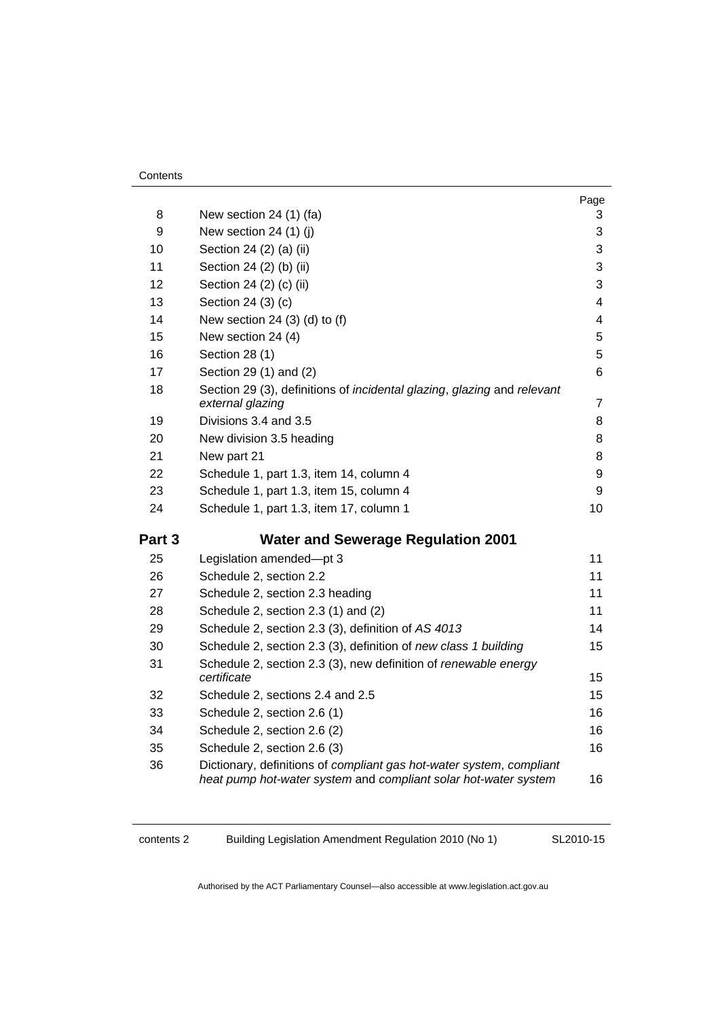| 8      | New section 24 (1) (fa)                                                                                                                 | Page<br>3        |
|--------|-----------------------------------------------------------------------------------------------------------------------------------------|------------------|
| 9      | New section 24 (1) (j)                                                                                                                  | 3                |
| 10     | Section 24 (2) (a) (ii)                                                                                                                 | 3                |
| 11     | Section 24 (2) (b) (ii)                                                                                                                 | 3                |
| 12     | Section 24 (2) (c) (ii)                                                                                                                 | 3                |
| 13     | Section 24 (3) (c)                                                                                                                      | $\overline{4}$   |
| 14     | New section $24(3)(d)$ to $(f)$                                                                                                         | 4                |
| 15     | New section 24 (4)                                                                                                                      | 5                |
| 16     | Section 28 (1)                                                                                                                          | 5                |
| 17     | Section 29 (1) and (2)                                                                                                                  | $6\phantom{1}$   |
| 18     | Section 29 (3), definitions of incidental glazing, glazing and relevant<br>external glazing                                             | $\overline{7}$   |
| 19     | Divisions 3.4 and 3.5                                                                                                                   | 8                |
| 20     | New division 3.5 heading                                                                                                                | 8                |
| 21     | New part 21                                                                                                                             | 8                |
| 22     | Schedule 1, part 1.3, item 14, column 4                                                                                                 | 9                |
| 23     | Schedule 1, part 1.3, item 15, column 4                                                                                                 | $\boldsymbol{9}$ |
| 24     | Schedule 1, part 1.3, item 17, column 1                                                                                                 | 10               |
| Part 3 | <b>Water and Sewerage Regulation 2001</b>                                                                                               |                  |
| 25     | Legislation amended-pt 3                                                                                                                | 11               |
| 26     | Schedule 2, section 2.2                                                                                                                 | 11               |
| 27     | Schedule 2, section 2.3 heading                                                                                                         | 11               |
| 28     | Schedule 2, section 2.3 (1) and (2)                                                                                                     | 11               |
| 29     | Schedule 2, section 2.3 (3), definition of AS 4013                                                                                      | 14               |
| 30     | Schedule 2, section 2.3 (3), definition of new class 1 building                                                                         | 15               |
| 31     | Schedule 2, section 2.3 (3), new definition of renewable energy<br>certificate                                                          | 15               |
| 32     | Schedule 2, sections 2.4 and 2.5                                                                                                        | 15               |
| 33     | Schedule 2, section 2.6 (1)                                                                                                             | 16               |
| 34     | Schedule 2, section 2.6 (2)                                                                                                             | 16               |
| 35     | Schedule 2, section 2.6 (3)                                                                                                             | 16               |
| 36     | Dictionary, definitions of compliant gas hot-water system, compliant<br>heat pump hot-water system and compliant solar hot-water system | 16               |

| contents 2 | Building Legislation Amendment Regulation 2010 (No 1) |  |  |  |
|------------|-------------------------------------------------------|--|--|--|
|            |                                                       |  |  |  |

SL2010-15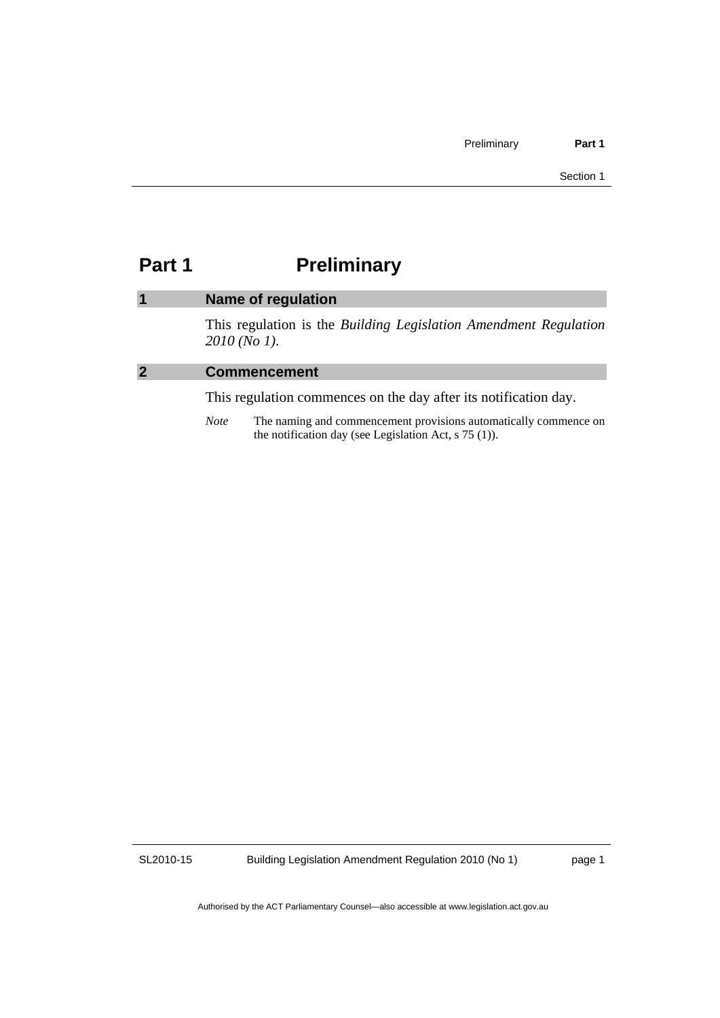### <span id="page-4-0"></span>**Part 1** Preliminary

#### **1 Name of regulation**

This regulation is the *Building Legislation Amendment Regulation 2010 (No 1)*.

#### **2 Commencement**

This regulation commences on the day after its notification day.

*Note* The naming and commencement provisions automatically commence on the notification day (see Legislation Act, s 75 (1)).

SL2010-15

Building Legislation Amendment Regulation 2010 (No 1)

page 1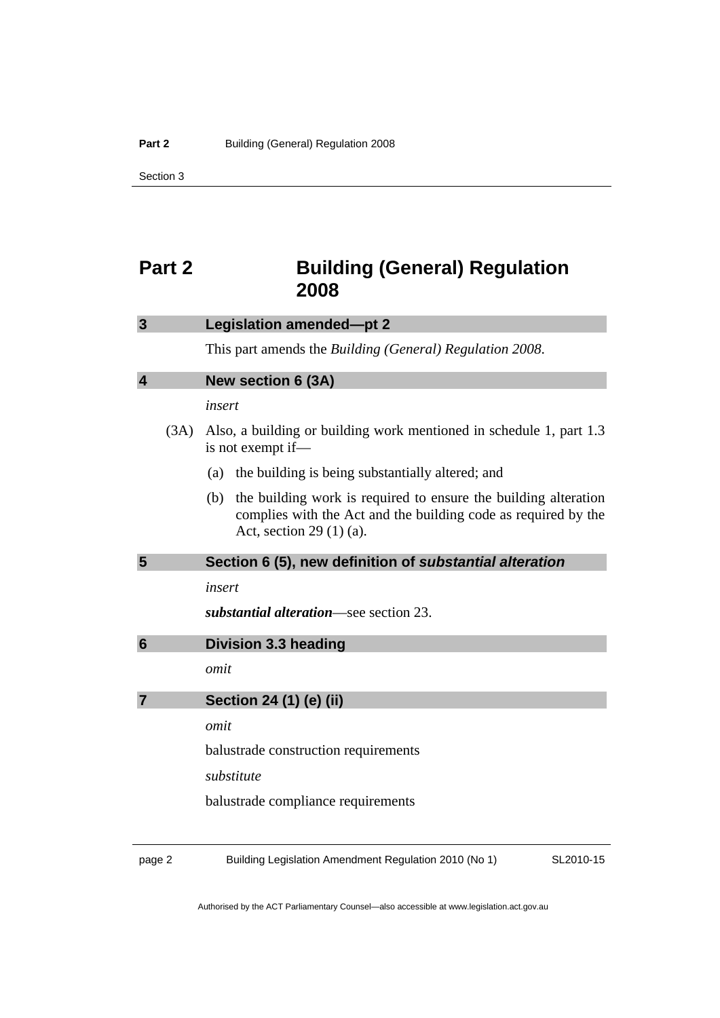### <span id="page-5-0"></span>**Part 2** Building (General) Regulation **2008**

| 3              |      | Legislation amended-pt 2                                                                                                                                              |  |
|----------------|------|-----------------------------------------------------------------------------------------------------------------------------------------------------------------------|--|
|                |      | This part amends the Building (General) Regulation 2008.                                                                                                              |  |
| 4              |      | New section 6 (3A)                                                                                                                                                    |  |
|                |      | insert                                                                                                                                                                |  |
|                | (3A) | Also, a building or building work mentioned in schedule 1, part 1.3<br>is not exempt if—                                                                              |  |
|                |      | the building is being substantially altered; and<br>(a)                                                                                                               |  |
|                |      | the building work is required to ensure the building alteration<br>(b)<br>complies with the Act and the building code as required by the<br>Act, section $29(1)(a)$ . |  |
| 5              |      | Section 6 (5), new definition of substantial alteration                                                                                                               |  |
|                |      | insert                                                                                                                                                                |  |
|                |      | substantial alteration—see section 23.                                                                                                                                |  |
| 6              |      | <b>Division 3.3 heading</b>                                                                                                                                           |  |
|                |      | omit                                                                                                                                                                  |  |
| $\overline{7}$ |      | Section 24 (1) (e) (ii)                                                                                                                                               |  |
|                |      | omit                                                                                                                                                                  |  |
|                |      | balustrade construction requirements                                                                                                                                  |  |
|                |      | substitute                                                                                                                                                            |  |
|                |      | balustrade compliance requirements                                                                                                                                    |  |
|                |      |                                                                                                                                                                       |  |

page 2 Building Legislation Amendment Regulation 2010 (No 1)

SL2010-15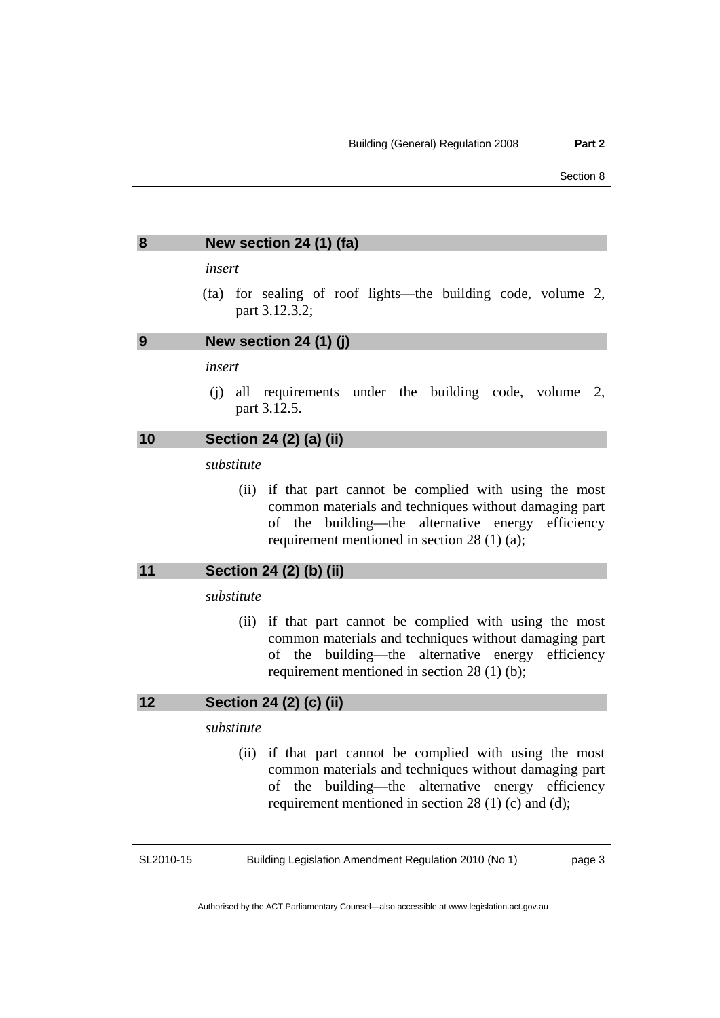#### <span id="page-6-0"></span>**8 New section 24 (1) (fa)**

#### *insert*

 (fa) for sealing of roof lights—the building code, volume 2, part 3.12.3.2;

#### **9 New section 24 (1) (j)**

*insert* 

 (j) all requirements under the building code, volume 2, part 3.12.5.

#### **10 Section 24 (2) (a) (ii)**

*substitute* 

 (ii) if that part cannot be complied with using the most common materials and techniques without damaging part of the building—the alternative energy efficiency requirement mentioned in section 28 (1) (a);

#### **11 Section 24 (2) (b) (ii)**

*substitute* 

 (ii) if that part cannot be complied with using the most common materials and techniques without damaging part of the building—the alternative energy efficiency requirement mentioned in section 28 (1) (b);

#### **12 Section 24 (2) (c) (ii)**

*substitute* 

 (ii) if that part cannot be complied with using the most common materials and techniques without damaging part of the building—the alternative energy efficiency requirement mentioned in section 28 (1) (c) and (d);

SL2010-15

Building Legislation Amendment Regulation 2010 (No 1)

page 3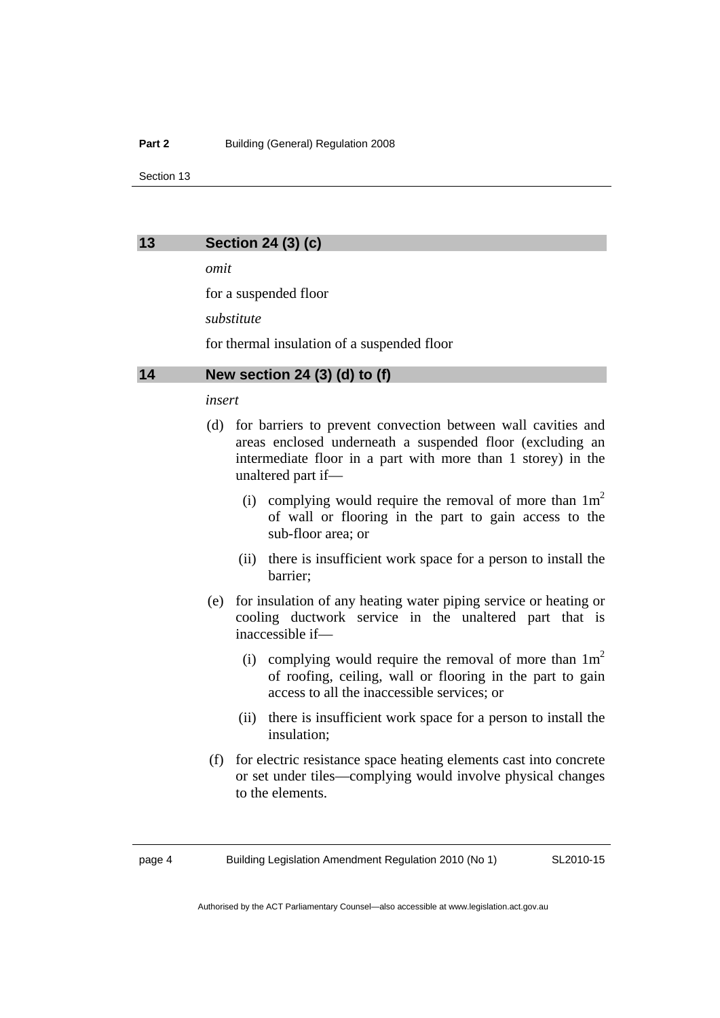#### <span id="page-7-0"></span>**13 Section 24 (3) (c)**

*omit* 

for a suspended floor

*substitute* 

for thermal insulation of a suspended floor

#### **14 New section 24 (3) (d) to (f)**

#### *insert*

- (d) for barriers to prevent convection between wall cavities and areas enclosed underneath a suspended floor (excluding an intermediate floor in a part with more than 1 storey) in the unaltered part if—
	- (i) complying would require the removal of more than  $1m<sup>2</sup>$ of wall or flooring in the part to gain access to the sub-floor area; or
	- (ii) there is insufficient work space for a person to install the barrier;
- (e) for insulation of any heating water piping service or heating or cooling ductwork service in the unaltered part that is inaccessible if—
	- (i) complying would require the removal of more than  $1m<sup>2</sup>$ of roofing, ceiling, wall or flooring in the part to gain access to all the inaccessible services; or
	- (ii) there is insufficient work space for a person to install the insulation;
- (f) for electric resistance space heating elements cast into concrete or set under tiles—complying would involve physical changes to the elements.

page 4 Building Legislation Amendment Regulation 2010 (No 1)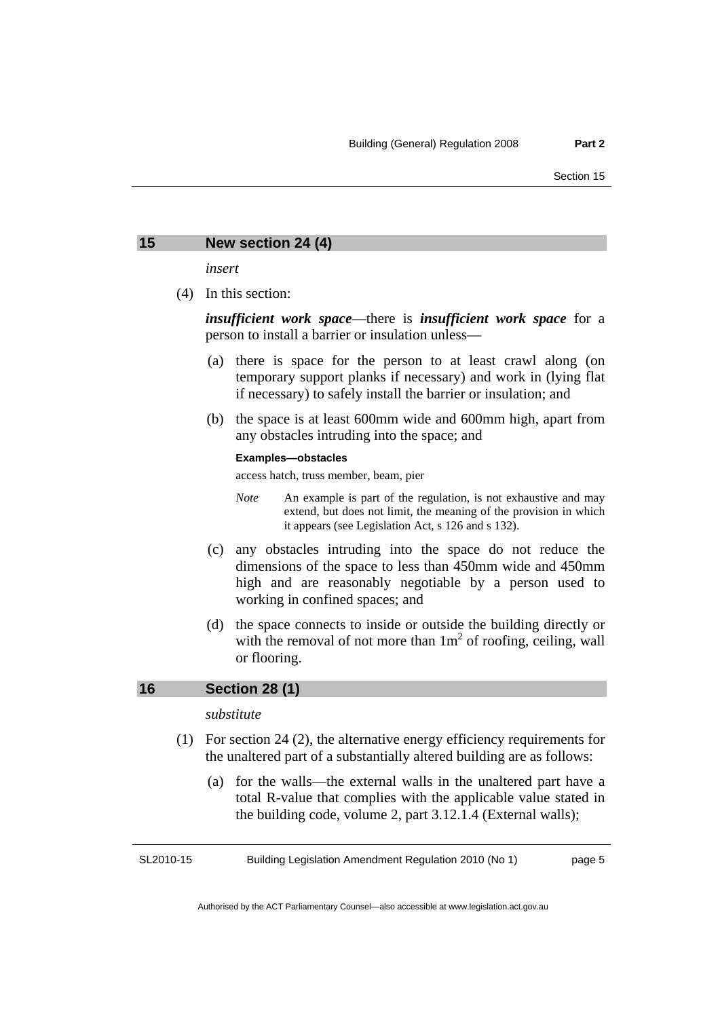#### <span id="page-8-0"></span>**15 New section 24 (4)**

*insert* 

(4) In this section:

*insufficient work space*—there is *insufficient work space* for a person to install a barrier or insulation unless—

- (a) there is space for the person to at least crawl along (on temporary support planks if necessary) and work in (lying flat if necessary) to safely install the barrier or insulation; and
- (b) the space is at least 600mm wide and 600mm high, apart from any obstacles intruding into the space; and

#### **Examples—obstacles**

access hatch, truss member, beam, pier

- *Note* An example is part of the regulation, is not exhaustive and may extend, but does not limit, the meaning of the provision in which it appears (see Legislation Act, s 126 and s 132).
- (c) any obstacles intruding into the space do not reduce the dimensions of the space to less than 450mm wide and 450mm high and are reasonably negotiable by a person used to working in confined spaces; and
- (d) the space connects to inside or outside the building directly or with the removal of not more than  $1m<sup>2</sup>$  of roofing, ceiling, wall or flooring.

#### **16 Section 28 (1)**

*substitute* 

- (1) For section 24 (2), the alternative energy efficiency requirements for the unaltered part of a substantially altered building are as follows:
	- (a) for the walls—the external walls in the unaltered part have a total R-value that complies with the applicable value stated in the building code, volume 2, part 3.12.1.4 (External walls);

SL2010-15 Building Legislation Amendment Regulation 2010 (No 1) page 5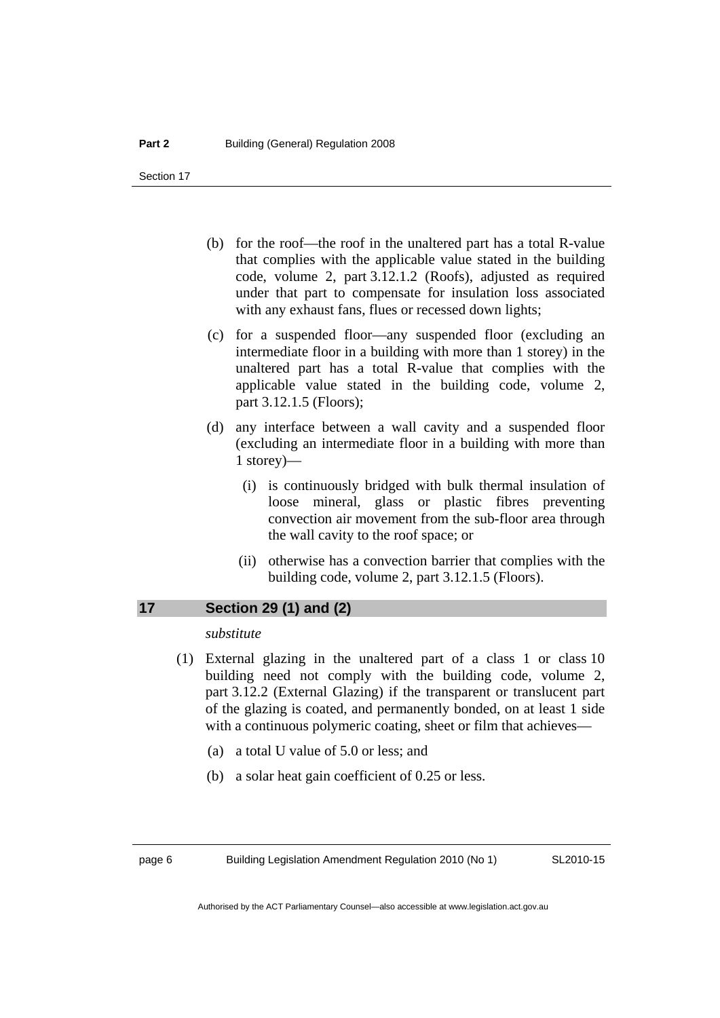- <span id="page-9-0"></span> (b) for the roof—the roof in the unaltered part has a total R-value that complies with the applicable value stated in the building code, volume 2, part 3.12.1.2 (Roofs), adjusted as required under that part to compensate for insulation loss associated with any exhaust fans, flues or recessed down lights;
- (c) for a suspended floor—any suspended floor (excluding an intermediate floor in a building with more than 1 storey) in the unaltered part has a total R-value that complies with the applicable value stated in the building code, volume 2, part 3.12.1.5 (Floors);
- (d) any interface between a wall cavity and a suspended floor (excluding an intermediate floor in a building with more than 1 storey)—
	- (i) is continuously bridged with bulk thermal insulation of loose mineral, glass or plastic fibres preventing convection air movement from the sub-floor area through the wall cavity to the roof space; or
	- (ii) otherwise has a convection barrier that complies with the building code, volume 2, part 3.12.1.5 (Floors).

#### **17 Section 29 (1) and (2)**

#### *substitute*

- (1) External glazing in the unaltered part of a class 1 or class 10 building need not comply with the building code, volume 2, part 3.12.2 (External Glazing) if the transparent or translucent part of the glazing is coated, and permanently bonded, on at least 1 side with a continuous polymeric coating, sheet or film that achieves—
	- (a) a total U value of 5.0 or less; and
	- (b) a solar heat gain coefficient of 0.25 or less.

page 6 Building Legislation Amendment Regulation 2010 (No 1)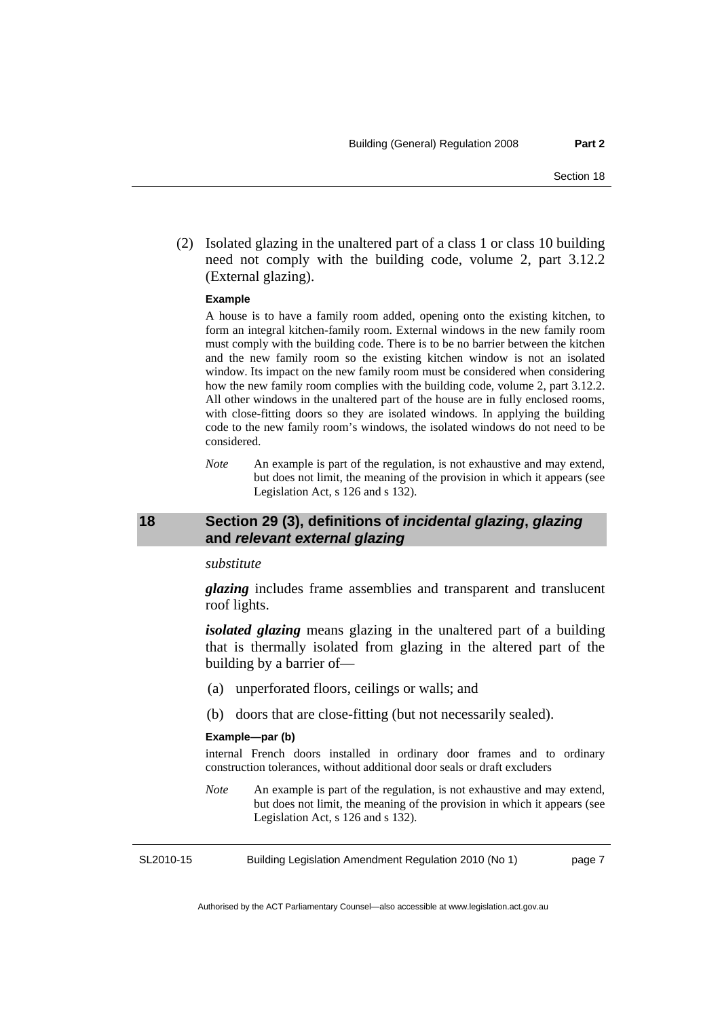<span id="page-10-0"></span> (2) Isolated glazing in the unaltered part of a class 1 or class 10 building need not comply with the building code, volume 2, part 3.12.2 (External glazing).

#### **Example**

A house is to have a family room added, opening onto the existing kitchen, to form an integral kitchen-family room. External windows in the new family room must comply with the building code. There is to be no barrier between the kitchen and the new family room so the existing kitchen window is not an isolated window. Its impact on the new family room must be considered when considering how the new family room complies with the building code, volume 2, part 3.12.2. All other windows in the unaltered part of the house are in fully enclosed rooms, with close-fitting doors so they are isolated windows. In applying the building code to the new family room's windows, the isolated windows do not need to be considered.

*Note* An example is part of the regulation, is not exhaustive and may extend, but does not limit, the meaning of the provision in which it appears (see Legislation Act, s 126 and s 132).

#### **18 Section 29 (3), definitions of** *incidental glazing***,** *glazing*  **and** *relevant external glazing*

#### *substitute*

*glazing* includes frame assemblies and transparent and translucent roof lights.

*isolated glazing* means glazing in the unaltered part of a building that is thermally isolated from glazing in the altered part of the building by a barrier of—

- (a) unperforated floors, ceilings or walls; and
- (b) doors that are close-fitting (but not necessarily sealed).

#### **Example—par (b)**

internal French doors installed in ordinary door frames and to ordinary construction tolerances, without additional door seals or draft excluders

*Note* An example is part of the regulation, is not exhaustive and may extend, but does not limit, the meaning of the provision in which it appears (see Legislation Act, s 126 and s 132).

SL2010-15 Building Legislation Amendment Regulation 2010 (No 1)

page 7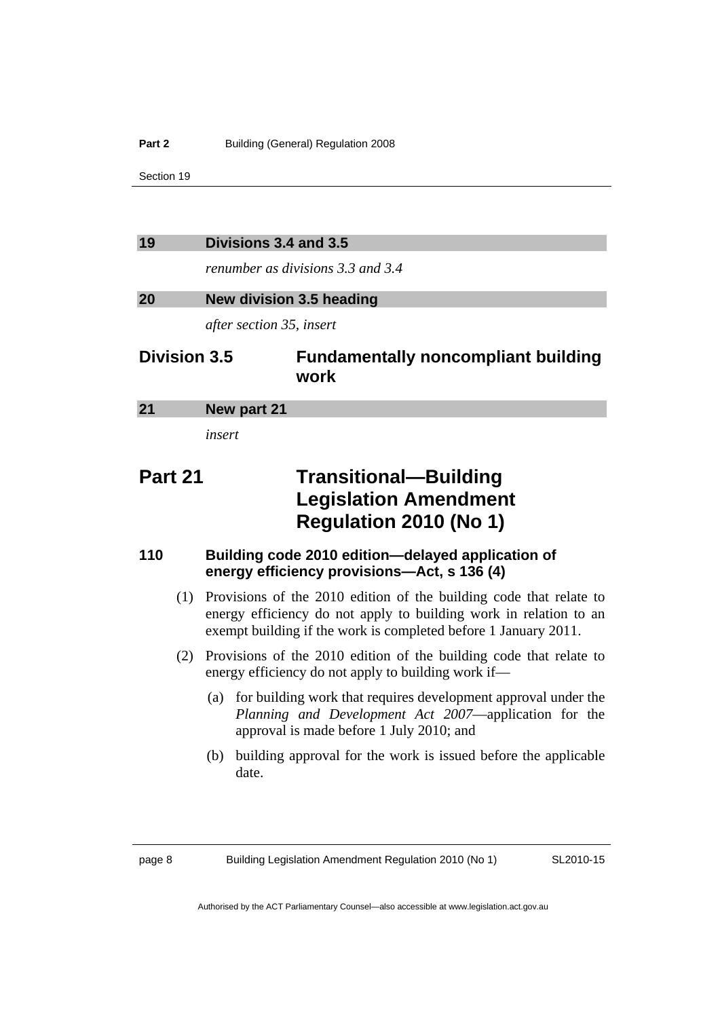<span id="page-11-0"></span>

| 19                  | Divisions 3.4 and 3.5                                                                                                     |                                                                                                                                                                                                            |
|---------------------|---------------------------------------------------------------------------------------------------------------------------|------------------------------------------------------------------------------------------------------------------------------------------------------------------------------------------------------------|
|                     |                                                                                                                           | renumber as divisions 3.3 and 3.4                                                                                                                                                                          |
| 20                  |                                                                                                                           | New division 3.5 heading                                                                                                                                                                                   |
|                     |                                                                                                                           | after section 35, insert                                                                                                                                                                                   |
| <b>Division 3.5</b> |                                                                                                                           | <b>Fundamentally noncompliant building</b><br>work                                                                                                                                                         |
| 21                  |                                                                                                                           | New part 21                                                                                                                                                                                                |
|                     | insert                                                                                                                    |                                                                                                                                                                                                            |
| Part 21             |                                                                                                                           | <b>Transitional-Building</b><br><b>Legislation Amendment</b><br><b>Regulation 2010 (No 1)</b>                                                                                                              |
| 110                 |                                                                                                                           | Building code 2010 edition-delayed application of<br>energy efficiency provisions-Act, s 136 (4)                                                                                                           |
| (1)                 |                                                                                                                           | Provisions of the 2010 edition of the building code that relate to<br>energy efficiency do not apply to building work in relation to an<br>exempt building if the work is completed before 1 January 2011. |
| (2)                 | Provisions of the 2010 edition of the building code that relate to<br>energy efficiency do not apply to building work if— |                                                                                                                                                                                                            |
|                     | (a)                                                                                                                       | for building work that requires development approval under the<br>Planning and Development Act 2007—application for the<br>approval is made before 1 July 2010; and                                        |
|                     | (b)                                                                                                                       | building approval for the work is issued before the applicable<br>date.                                                                                                                                    |

page 8 Building Legislation Amendment Regulation 2010 (No 1)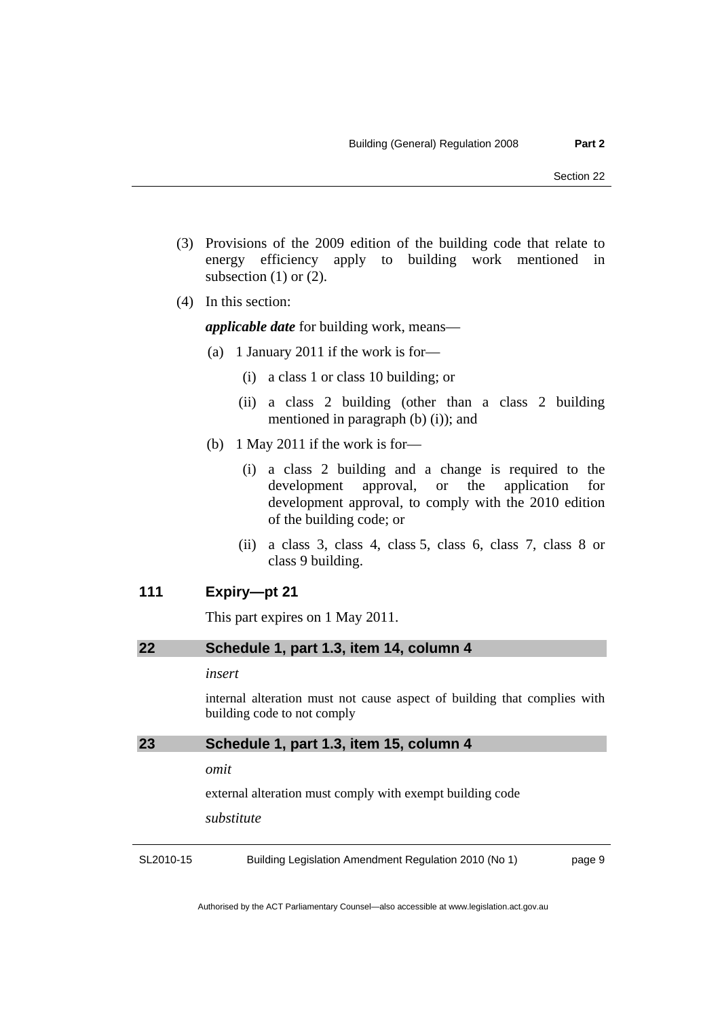- <span id="page-12-0"></span> (3) Provisions of the 2009 edition of the building code that relate to energy efficiency apply to building work mentioned in subsection  $(1)$  or  $(2)$ .
- (4) In this section:

*applicable date* for building work, means—

- (a) 1 January 2011 if the work is for—
	- (i) a class 1 or class 10 building; or
	- (ii) a class 2 building (other than a class 2 building mentioned in paragraph (b) (i)); and
- (b) 1 May 2011 if the work is for—
	- (i) a class 2 building and a change is required to the development approval, or the application for development approval, to comply with the 2010 edition of the building code; or
	- (ii) a class 3, class 4, class 5, class 6, class 7, class 8 or class 9 building.

#### **111 Expiry—pt 21**

This part expires on 1 May 2011.

#### **22 Schedule 1, part 1.3, item 14, column 4**

#### *insert*

internal alteration must not cause aspect of building that complies with building code to not comply

#### **23 Schedule 1, part 1.3, item 15, column 4**

*omit* 

external alteration must comply with exempt building code

*substitute* 

SL2010-15 Building Legislation Amendment Regulation 2010 (No 1) page 9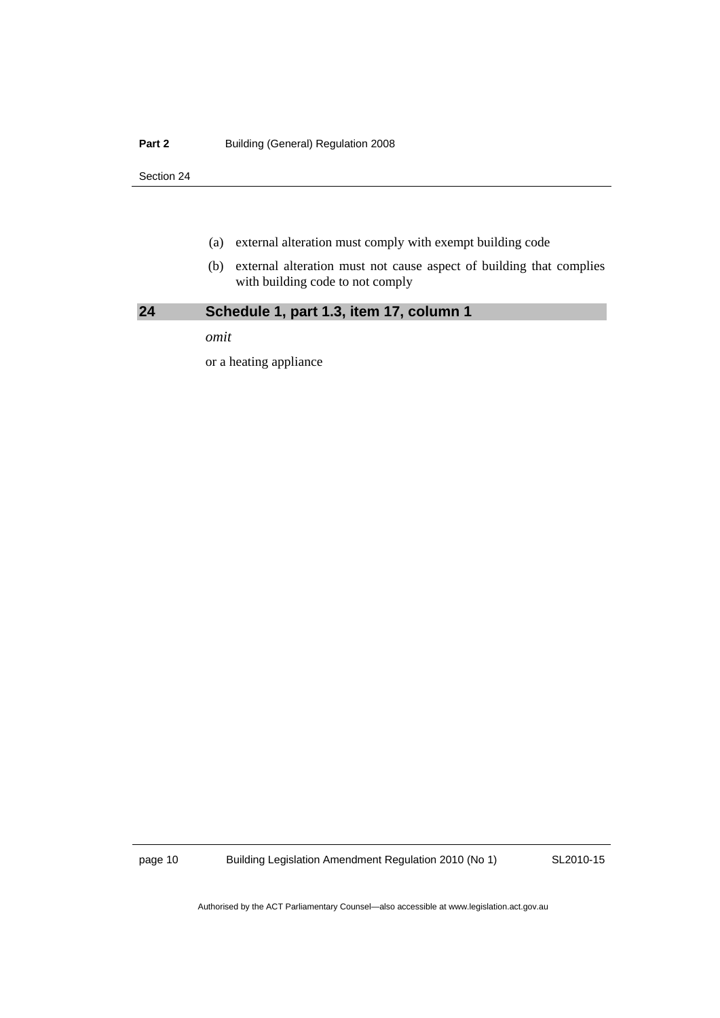#### <span id="page-13-0"></span>**Part 2 Building (General) Regulation 2008**

Section 24

- (a) external alteration must comply with exempt building code
- (b) external alteration must not cause aspect of building that complies with building code to not comply

### **24 Schedule 1, part 1.3, item 17, column 1**

*omit* 

or a heating appliance

page 10 Building Legislation Amendment Regulation 2010 (No 1)

SL2010-15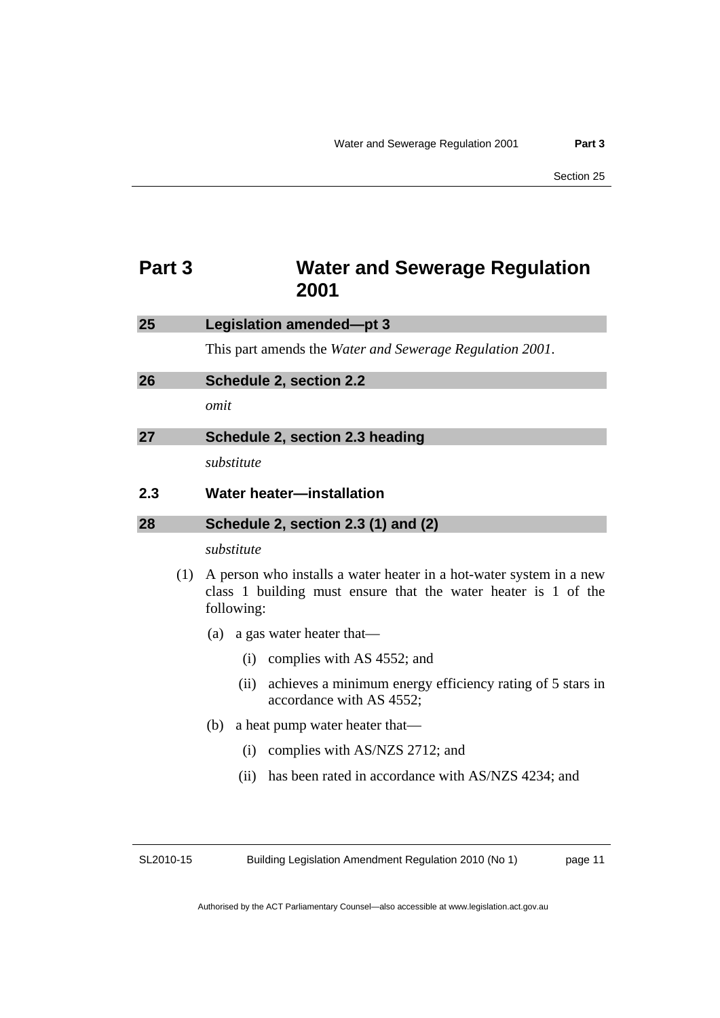### <span id="page-14-0"></span>**Part 3 Water and Sewerage Regulation 2001**

| 25  | Legislation amended-pt 3                                         |
|-----|------------------------------------------------------------------|
|     | This part amends the <i>Water and Sewerage Regulation 2001</i> . |
| 26  | Schedule 2, section 2.2                                          |
|     | omit                                                             |
| 27  | Schedule 2, section 2.3 heading                                  |
|     | substitute                                                       |
| 2.3 | <b>Water heater-installation</b>                                 |

### **28 Schedule 2, section 2.3 (1) and (2)**

#### *substitute*

- (1) A person who installs a water heater in a hot-water system in a new class 1 building must ensure that the water heater is 1 of the following:
	- (a) a gas water heater that—
		- (i) complies with AS 4552; and
		- (ii) achieves a minimum energy efficiency rating of 5 stars in accordance with AS 4552;
	- (b) a heat pump water heater that—
		- (i) complies with AS/NZS 2712; and
		- (ii) has been rated in accordance with AS/NZS 4234; and

SL2010-15

Building Legislation Amendment Regulation 2010 (No 1)

page 11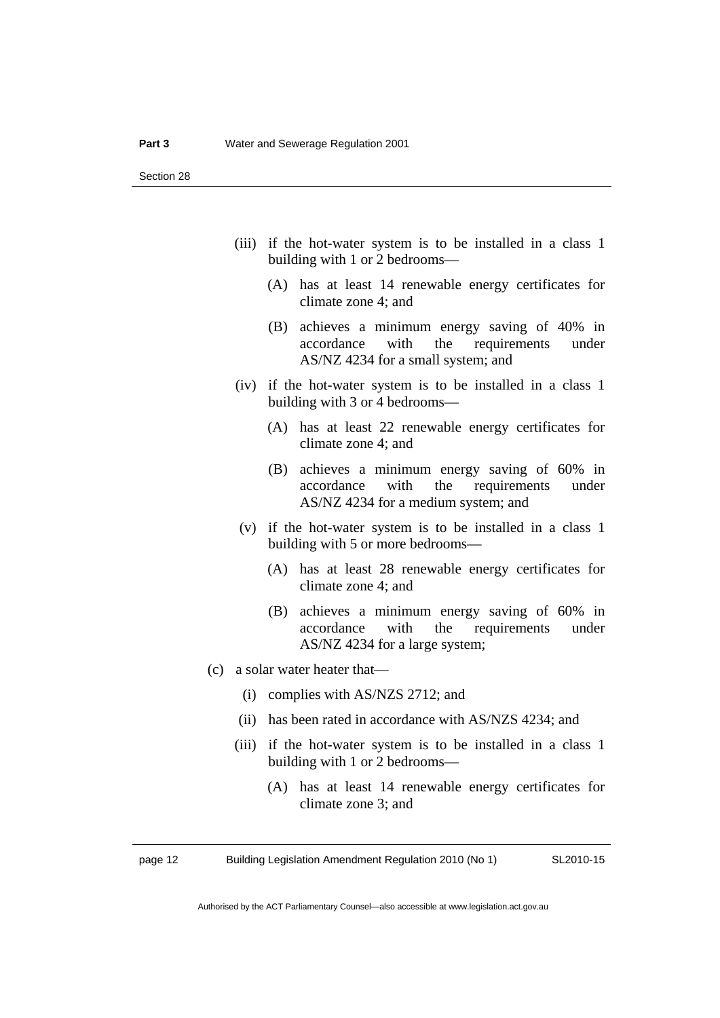- (iii) if the hot-water system is to be installed in a class 1 building with 1 or 2 bedrooms—
	- (A) has at least 14 renewable energy certificates for climate zone 4; and
	- (B) achieves a minimum energy saving of 40% in accordance with the requirements under AS/NZ 4234 for a small system; and
- (iv) if the hot-water system is to be installed in a class 1 building with 3 or 4 bedrooms—
	- (A) has at least 22 renewable energy certificates for climate zone 4; and
	- (B) achieves a minimum energy saving of 60% in accordance with the requirements under AS/NZ 4234 for a medium system; and
- (v) if the hot-water system is to be installed in a class 1 building with 5 or more bedrooms—
	- (A) has at least 28 renewable energy certificates for climate zone 4; and
	- (B) achieves a minimum energy saving of 60% in accordance with the requirements under AS/NZ 4234 for a large system;
- (c) a solar water heater that—
	- (i) complies with AS/NZS 2712; and
	- (ii) has been rated in accordance with AS/NZS 4234; and
	- (iii) if the hot-water system is to be installed in a class 1 building with 1 or 2 bedrooms—
		- (A) has at least 14 renewable energy certificates for climate zone 3; and

page 12 Building Legislation Amendment Regulation 2010 (No 1)

SL2010-15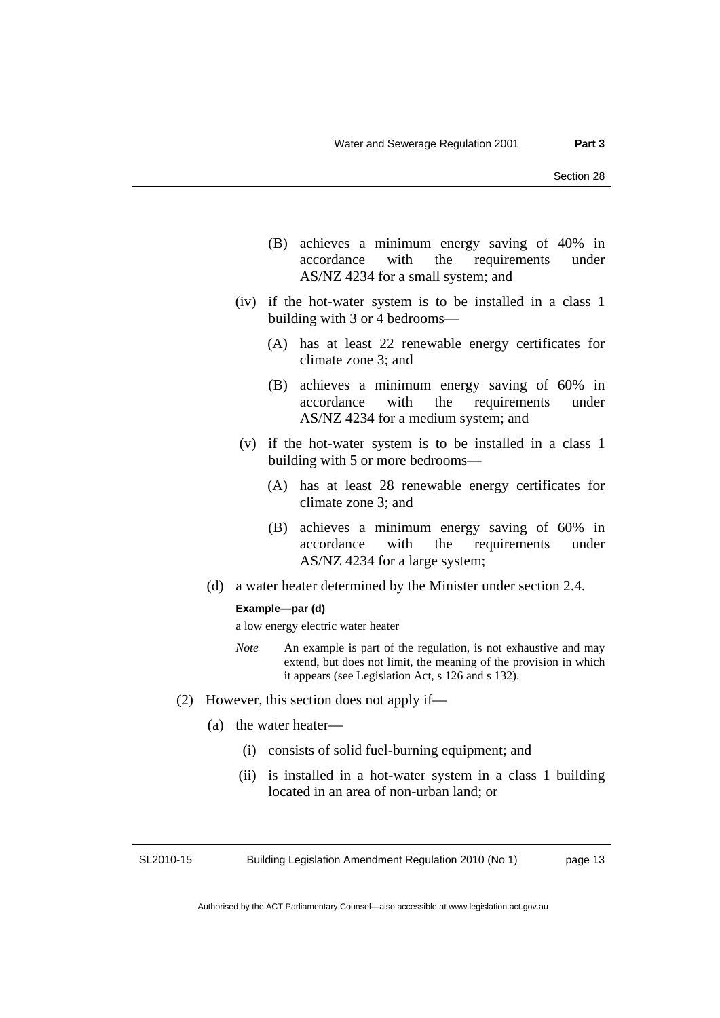- (B) achieves a minimum energy saving of 40% in accordance with the requirements under AS/NZ 4234 for a small system; and
- (iv) if the hot-water system is to be installed in a class 1 building with 3 or 4 bedrooms—
	- (A) has at least 22 renewable energy certificates for climate zone 3; and
	- (B) achieves a minimum energy saving of 60% in accordance with the requirements under AS/NZ 4234 for a medium system; and
- (v) if the hot-water system is to be installed in a class 1 building with 5 or more bedrooms—
	- (A) has at least 28 renewable energy certificates for climate zone 3; and
	- (B) achieves a minimum energy saving of 60% in accordance with the requirements under AS/NZ 4234 for a large system;
- (d) a water heater determined by the Minister under section 2.4.

#### **Example—par (d)**

a low energy electric water heater

- *Note* An example is part of the regulation, is not exhaustive and may extend, but does not limit, the meaning of the provision in which it appears (see Legislation Act, s 126 and s 132).
- (2) However, this section does not apply if—
	- (a) the water heater—
		- (i) consists of solid fuel-burning equipment; and
		- (ii) is installed in a hot-water system in a class 1 building located in an area of non-urban land; or

SL2010-15

Building Legislation Amendment Regulation 2010 (No 1)

page 13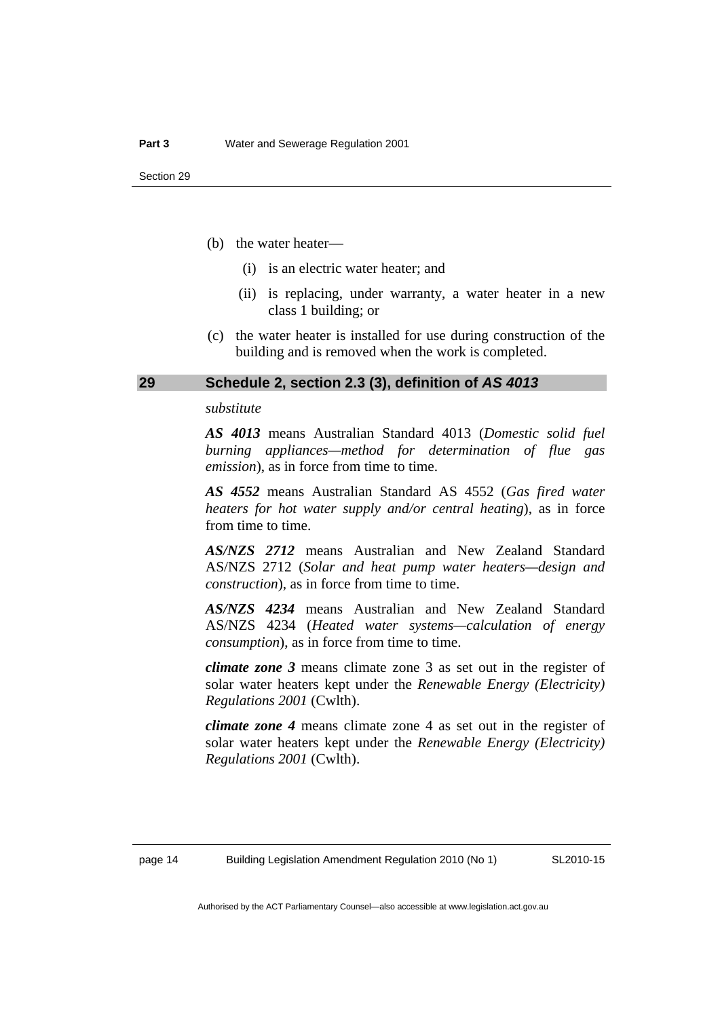- <span id="page-17-0"></span>(b) the water heater—
	- (i) is an electric water heater; and
	- (ii) is replacing, under warranty, a water heater in a new class 1 building; or
- (c) the water heater is installed for use during construction of the building and is removed when the work is completed.

#### **29 Schedule 2, section 2.3 (3), definition of** *AS 4013*

#### *substitute*

*AS 4013* means Australian Standard 4013 (*Domestic solid fuel burning appliances—method for determination of flue gas emission*), as in force from time to time.

*AS 4552* means Australian Standard AS 4552 (*Gas fired water heaters for hot water supply and/or central heating*), as in force from time to time.

*AS/NZS 2712* means Australian and New Zealand Standard AS/NZS 2712 (*Solar and heat pump water heaters—design and construction*), as in force from time to time.

*AS/NZS 4234* means Australian and New Zealand Standard AS/NZS 4234 (*Heated water systems—calculation of energy consumption*), as in force from time to time.

*climate zone 3* means climate zone 3 as set out in the register of solar water heaters kept under the *Renewable Energy (Electricity) Regulations 2001* (Cwlth).

*climate zone 4* means climate zone 4 as set out in the register of solar water heaters kept under the *Renewable Energy (Electricity) Regulations 2001* (Cwlth).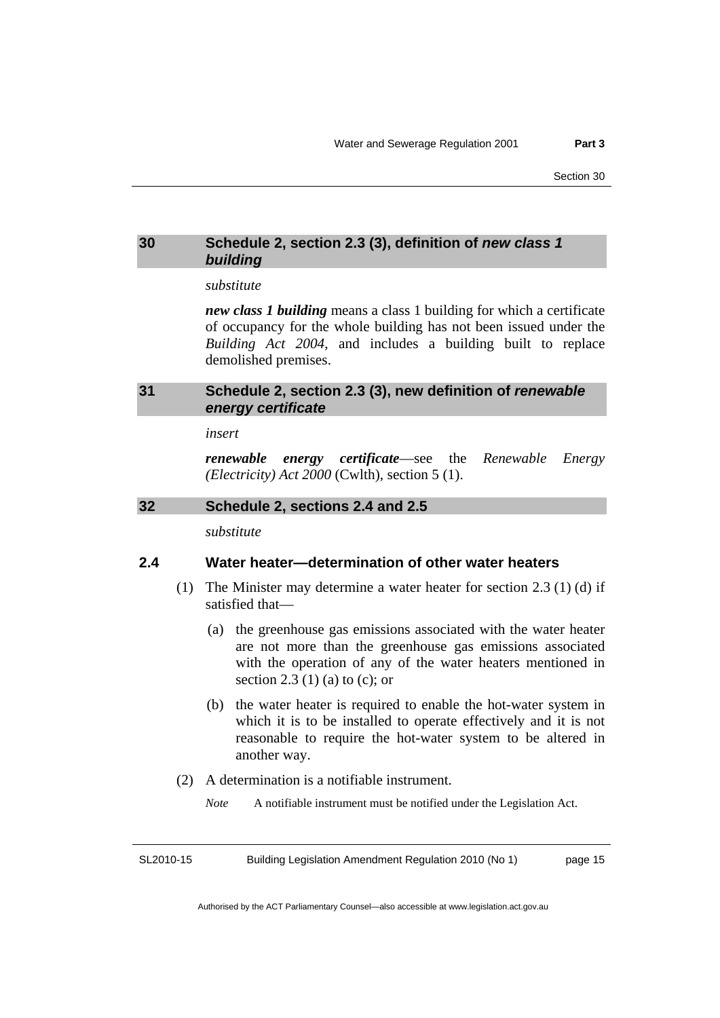#### <span id="page-18-0"></span>**30 Schedule 2, section 2.3 (3), definition of** *new class 1 building*

#### *substitute*

*new class 1 building* means a class 1 building for which a certificate of occupancy for the whole building has not been issued under the *Building Act 2004*, and includes a building built to replace demolished premises.

#### **31 Schedule 2, section 2.3 (3), new definition of** *renewable energy certificate*

#### *insert*

*renewable energy certificate*—see the *Renewable Energy (Electricity) Act 2000* (Cwlth), section 5 (1).

#### **32 Schedule 2, sections 2.4 and 2.5**

*substitute* 

#### **2.4 Water heater—determination of other water heaters**

- (1) The Minister may determine a water heater for section 2.3 (1) (d) if satisfied that—
	- (a) the greenhouse gas emissions associated with the water heater are not more than the greenhouse gas emissions associated with the operation of any of the water heaters mentioned in section 2.3 (1) (a) to (c); or
	- (b) the water heater is required to enable the hot-water system in which it is to be installed to operate effectively and it is not reasonable to require the hot-water system to be altered in another way.
- (2) A determination is a notifiable instrument.
	- *Note* A notifiable instrument must be notified under the Legislation Act.

SL2010-15 Building Legislation Amendment Regulation 2010 (No 1)

page 15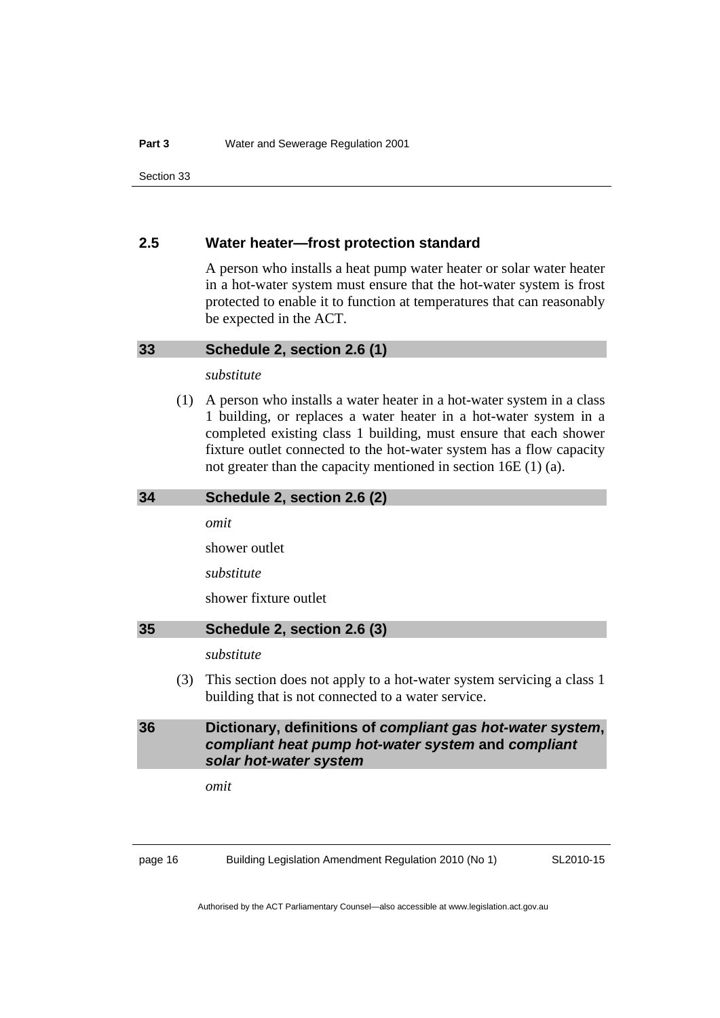#### <span id="page-19-0"></span>**2.5 Water heater—frost protection standard**

**34 Schedule 2, section 2.6 (2)** 

A person who installs a heat pump water heater or solar water heater in a hot-water system must ensure that the hot-water system is frost protected to enable it to function at temperatures that can reasonably be expected in the ACT.

#### *substitute*

 (1) A person who installs a water heater in a hot-water system in a class 1 building, or replaces a water heater in a hot-water system in a completed existing class 1 building, must ensure that each shower fixture outlet connected to the hot-water system has a flow capacity not greater than the capacity mentioned in section 16E (1) (a).

| -34 | Schedule 2, section 2.6 (2)                                                                                                 |
|-----|-----------------------------------------------------------------------------------------------------------------------------|
|     | omit                                                                                                                        |
|     | shower outlet                                                                                                               |
|     | substitute                                                                                                                  |
|     | shower fixture outlet                                                                                                       |
| 35  | Schedule 2, section 2.6 (3)                                                                                                 |
|     | substitute                                                                                                                  |
| (3) | This section does not apply to a hot-water system servicing a class 1<br>building that is not connected to a water service. |
| 36  | Dictionary, definitions of compliant gas hot-water system,<br>compliant heat pump hot-water system and compliant            |

*omit* 

*solar hot-water system* 

page 16 Building Legislation Amendment Regulation 2010 (No 1)

SL2010-15